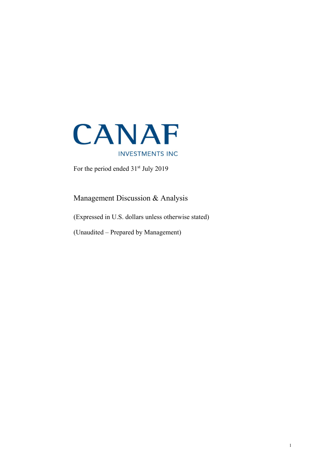

For the period ended  $31<sup>st</sup>$  July 2019

Management Discussion & Analysis

(Expressed in U.S. dollars unless otherwise stated)

(Unaudited – Prepared by Management)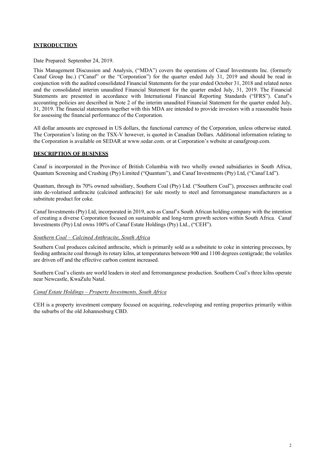### **INTRODUCTION**

Date Prepared: September 24, 2019.

This Management Discussion and Analysis, ("MDA") covers the operations of Canaf Investments Inc. (formerly Canaf Group Inc.) ("Canaf" or the "Corporation") for the quarter ended July 31, 2019 and should be read in conjunction with the audited consolidated Financial Statements for the year ended October 31, 2018 and related notes and the consolidated interim unaudited Financial Statement for the quarter ended July, 31, 2019. The Financial Statements are presented in accordance with International Financial Reporting Standards ("IFRS"). Canaf's accounting policies are described in Note 2 of the interim unaudited Financial Statement for the quarter ended July, 31, 2019. The financial statements together with this MDA are intended to provide investors with a reasonable basis for assessing the financial performance of the Corporation.

All dollar amounts are expressed in US dollars, the functional currency of the Corporation, unless otherwise stated. The Corporation's listing on the TSX-V however, is quoted in Canadian Dollars. Additional information relating to the Corporation is available on SEDAR at www.sedar.com. or at Corporation's website at canafgroup.com.

#### DESCRIPTION OF BUSINESS

Canaf is incorporated in the Province of British Columbia with two wholly owned subsidiaries in South Africa, Quantum Screening and Crushing (Pty) Limited ("Quantum"), and Canaf Investments (Pty) Ltd, ("Canaf Ltd").

Quantum, through its 70% owned subsidiary, Southern Coal (Pty) Ltd. ("Southern Coal"), processes anthracite coal into de-volatised anthracite (calcined anthracite) for sale mostly to steel and ferromanganese manufacturers as a substitute product for coke.

Canaf Investments (Pty) Ltd, incorporated in 2019, acts as Canaf's South African holding company with the intention of creating a diverse Corporation focused on sustainable and long-term growth sectors within South Africa. Canaf Investments (Pty) Ltd owns 100% of Canaf Estate Holdings (Pty) Ltd., ("CEH").

#### Southern Coal – Calcined Anthracite, South Africa

Southern Coal produces calcined anthracite, which is primarily sold as a substitute to coke in sintering processes, by feeding anthracite coal through its rotary kilns, at temperatures between 900 and 1100 degrees centigrade; the volatiles are driven off and the effective carbon content increased.

Southern Coal's clients are world leaders in steel and ferromanganese production. Southern Coal's three kilns operate near Newcastle, KwaZulu Natal.

### Canaf Estate Holdings – Property Investments, South Africa

CEH is a property investment company focused on acquiring, redeveloping and renting properties primarily within the suburbs of the old Johannesburg CBD.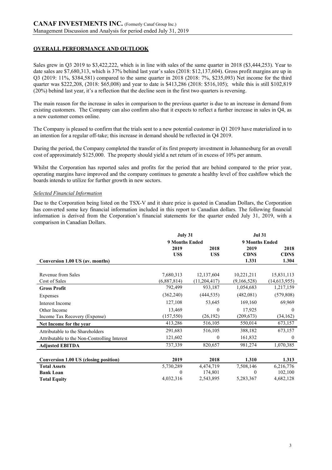# OVERALL PERFORMANCE AND OUTLOOK

Sales grew in Q3 2019 to \$3,422,222, which is in line with sales of the same quarter in 2018 (\$3,444,253). Year to date sales are \$7,680,313, which is 37% behind last year's sales (2018: \$12,137,604). Gross profit margins are up in Q3 (2019: 11%, \$384,581) compared to the same quarter in 2018 (2018: 7%, \$235,093) Net income for the third quarter was \$222,208, (2018: \$65,008) and year to date is \$413,286 (2018: \$516,105); while this is still \$102,819 (20%) behind last year, it's a reflection that the decline seen in the first two quarters is reversing.

The main reason for the increase in sales in comparison to the previous quarter is due to an increase in demand from existing customers. The Company can also confirm also that it expects to reflect a further increase in sales in Q4, as a new customer comes online.

The Company is pleased to confirm that the trials sent to a new potential customer in Q1 2019 have materialized in to an intention for a regular off-take; this increase in demand should be reflected in Q4 2019.

During the period, the Company completed the transfer of its first property investment in Johannesburg for an overall cost of approximately \$125,000. The property should yield a net return of in excess of 10% per annum.

Whilst the Corporation has reported sales and profits for the period that are behind compared to the prior year, operating margins have improved and the company continues to generate a healthy level of free cashflow which the boards intends to utilize for further growth in new sectors.

#### Selected Financial Information

Due to the Corporation being listed on the TSX-V and it share price is quoted in Canadian Dollars, the Corporation has converted some key financial information included in this report to Canadian dollars. The following financial information is derived from the Corporation's financial statements for the quarter ended July 31, 2019, with a comparison in Canadian Dollars.

|                                              | July 31               |              | <b>Jul 31</b> |                       |  |  |
|----------------------------------------------|-----------------------|--------------|---------------|-----------------------|--|--|
|                                              | <b>9 Months Ended</b> |              |               | <b>9 Months Ended</b> |  |  |
|                                              | 2019                  | 2018         | 2019          | 2018                  |  |  |
|                                              | US\$                  | US\$         | <b>CDNS</b>   | <b>CDNS</b>           |  |  |
| Conversion 1.00 US (av. months)              |                       |              | 1.331         | 1.304                 |  |  |
|                                              |                       |              |               |                       |  |  |
| Revenue from Sales                           | 7,680,313             | 12,137,604   | 10,221,211    | 15,831,113            |  |  |
| Cost of Sales                                | (6,887,814)           | (11,204,417) | (9,166,528)   | (14,613,955)          |  |  |
| <b>Gross Profit</b>                          | 792,499               | 933,187      | 1,054,683     | 1,217,159             |  |  |
| Expenses                                     | (362, 240)            | (444, 535)   | (482,081)     | (579, 808)            |  |  |
| Interest Income                              | 127,108               | 53,645       | 169,160       | 69,969                |  |  |
| Other Income                                 | 13,469                | $\theta$     | 17,925        | $\Omega$              |  |  |
| Income Tax Recovery (Expense)                | (157, 550)            | (26, 192)    | (209, 673)    | (34, 162)             |  |  |
| Net Income for the year                      | 413,286               | 516,105      | 550,014       | 673,157               |  |  |
| Attributable to the Shareholders             | 291,683               | 516,105      | 388,182       | 673,157               |  |  |
| Attributable to the Non-Controlling Interest | 121,602               | $\theta$     | 161,832       | $\theta$              |  |  |
| <b>Adjusted EBITDA</b>                       | 737,339               | 820,657      | 981,274       | 1,070,385             |  |  |
|                                              |                       |              |               |                       |  |  |
| Conversion 1.00 US (closing position)        | 2019                  | 2018         | 1.310         | 1.313                 |  |  |
| <b>Total Assets</b>                          | 5,730,289             | 4,474,719    | 7,508,146     | 6,216,776             |  |  |
| <b>Bank Loan</b>                             | $\theta$              | 174,801      | $\Omega$      | 102,100               |  |  |
| <b>Total Equity</b>                          | 4,032,316             | 2,543,895    | 5,283,367     | 4,682,128             |  |  |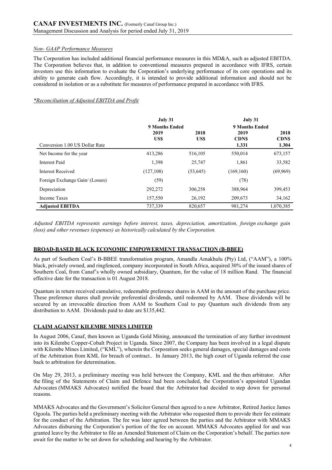### Non- GAAP Performance Measures

The Corporation has included additional financial performance measures in this MD&A, such as adjusted EBITDA. The Corporation believes that, in addition to conventional measures prepared in accordance with IFRS, certain investors use this information to evaluate the Corporation's underlying performance of its core operations and its ability to generate cash flow. Accordingly, it is intended to provide additional information and should not be considered in isolation or as a substitute for measures of performance prepared in accordance with IFRS.

### \*Reconciliation of Adjusted EBITDA and Profit

|                                 | July 31        |           | July 31              |                      |
|---------------------------------|----------------|-----------|----------------------|----------------------|
|                                 | 9 Months Ended |           | 9 Months Ended       |                      |
|                                 | 2019           | 2018      | 2019                 | 2018                 |
| Conversion 1.00 US Dollar Rate  | US\$           | US\$      | <b>CDNS</b><br>1.331 | <b>CDNS</b><br>1.304 |
| Net Income for the year         | 413,286        | 516,105   | 550,014              | 673,157              |
| Interest Paid                   | 1,398          | 25,747    | 1,861                | 33,582               |
| <b>Interest Received</b>        | (127, 108)     | (53, 645) | (169,160)            | (69,969)             |
| Foreign Exchange Gain/ (Losses) | (59)           |           | (78)                 |                      |
| Depreciation                    | 292,272        | 306,258   | 388,964              | 399,453              |
| <b>Income Taxes</b>             | 157,550        | 26,192    | 209,673              | 34,162               |
| <b>Adjusted EBITDA</b>          | 737,339        | 820,657   | 981,274              | 1,070,385            |

Adjusted EBITDA represents earnings before interest, taxes, depreciation, amortization, foreign exchange gain (loss) and other revenues (expenses) as historically calculated by the Corporation.

#### BROAD-BASED BLACK ECONOMIC EMPOWERMENT TRANSACTION (B-BBEE)

As part of Southern Coal's B-BBEE transformation program, Amandla Amakhulu (Pty) Ltd, ("AAM"), a 100% black, privately owned, and ringfenced, company incorporated in South Africa, acquired 30% of the issued shares of Southern Coal, from Canaf's wholly owned subsidiary, Quantum, for the value of 18 million Rand. The financial effective date for the transaction is 01 August 2018.

Quantum in return received cumulative, redeemable preference shares in AAM in the amount of the purchase price. These preference shares shall provide preferential dividends, until redeemed by AAM. These dividends will be secured by an irrevocable direction from AAM to Southern Coal to pay Quantum such dividends from any distribution to AAM. Dividends paid to date are \$135,442.

## CLAIM AGAINST KILEMBE MINES LIMITED

In August 2006, Canaf, then known as Uganda Gold Mining, announced the termination of any further investment into its Kilembe Copper-Cobalt Project in Uganda. Since 2007, the Company has been involved in a legal dispute with Kilembe Mines Limited, ("KML"), wherein the Corporation seeks general damages, special damages and costs of the Arbitration from KML for breach of contract.. In January 2013, the high court of Uganda referred the case back to arbitration for determination.

On May 29, 2013, a preliminary meeting was held between the Company, KML and the then arbitrator. After the filing of the Statements of Claim and Defence had been concluded, the Corporation's appointed Ugandan Advocates (MMAKS Advocates) notified the board that the Arbitrator had decided to step down for personal reasons.

MMAKS Advocates and the Government's Solicitor General then agreed to a new Arbitrator, Retired Justice James Ogoola. The parties held a preliminary meeting with the Arbitrator who requested them to provide their fee estimate for the conduct of the Arbitration. The fee was later agreed between the parties and the Arbitrator with MMAKS Advocates disbursing the Corporation's portion of the fee on account. MMAKS Advocates applied for and was granted leave by the Arbitrator to file an Amended Statement of Claim on the Corporation's behalf. The parties now await for the matter to be set down for scheduling and hearing by the Arbitrator.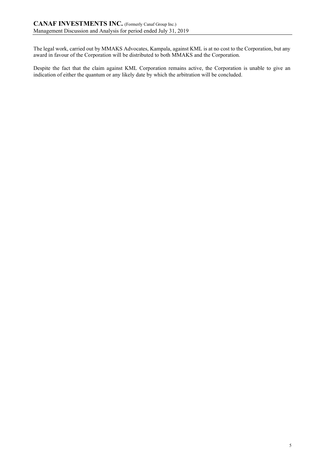The legal work, carried out by MMAKS Advocates, Kampala, against KML is at no cost to the Corporation, but any award in favour of the Corporation will be distributed to both MMAKS and the Corporation.

Despite the fact that the claim against KML Corporation remains active, the Corporation is unable to give an indication of either the quantum or any likely date by which the arbitration will be concluded.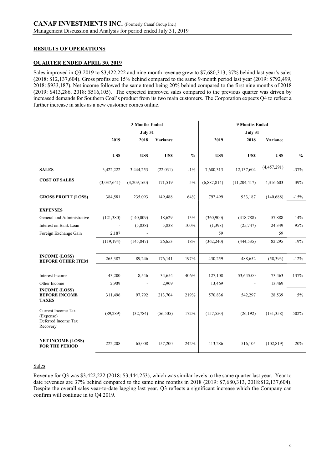### RESULTS OF OPERATIONS

### QUARTER ENDED APRIL 30, 2019

Sales improved in Q3 2019 to \$3,422,222 and nine-month revenue grew to \$7,680,313; 37% behind last year's sales (2018: \$12,137,604). Gross profits are 15% behind compared to the same 9-month period last year (2019: \$792,499, 2018: \$933,187). Net income followed the same trend being 20% behind compared to the first nine months of 2018 (2019: \$413,286, 2018: \$516,105). The expected improved sales compared to the previous quarter was driven by increased demands for Southern Coal's product from its two main customers. The Corporation expects Q4 to reflect a further increase in sales as a new customer comes online.

|                                                                    |             | <b>3 Months Ended</b>    |                                       |               | 9 Months Ended<br>July 31 |                          |             |               |
|--------------------------------------------------------------------|-------------|--------------------------|---------------------------------------|---------------|---------------------------|--------------------------|-------------|---------------|
|                                                                    | 2019        | July 31<br>2018          | Variance                              |               | 2019                      | 2018                     | Variance    |               |
|                                                                    | US\$        | US\$                     | <b>USS</b>                            | $\frac{0}{0}$ | US\$                      | US\$                     | US\$        | $\frac{0}{0}$ |
| <b>SALES</b>                                                       | 3,422,222   | 3,444,253                | (22, 031)                             | $-1\%$        | 7,680,313                 | 12,137,604               | (4,457,291) | $-37%$        |
| <b>COST OF SALES</b>                                               | (3,037,641) | (3,209,160)              | 171,519                               | 5%            | (6,887,814)               | (11,204,417)             | 4,316,603   | 39%           |
| <b>GROSS PROFIT (LOSS)</b>                                         | 384,581     | 235,093                  | 149,488                               | 64%           | 792,499                   | 933,187                  | (140, 688)  | $-15%$        |
| <b>EXPENSES</b>                                                    |             |                          |                                       |               |                           |                          |             |               |
| General and Administrative                                         | (121,380)   | (140,009)                | 18,629                                | 13%           | (360,900)                 | (418, 788)               | 57,888      | 14%           |
| Interest on Bank Loan                                              |             | (5,838)                  | 5,838                                 | 100%          | (1,398)                   | (25,747)                 | 24,349      | 95%           |
| Foreign Exchange Gain                                              | 2,187       |                          |                                       |               | 59                        |                          | 59          |               |
|                                                                    | (119, 194)  | (145, 847)               | 26,653                                | 18%           | (362, 240)                | (444, 535)               | 82,295      | 19%           |
| <b>INCOME (LOSS)</b><br><b>BEFORE OTHER ITEM</b>                   | 265,387     | 89,246                   | 176,141                               | 197%          | 430,259                   | 488,652                  | (58, 393)   | $-12%$        |
| Interest Income                                                    | 43,200      | 8,546                    | 34,654                                | 406%          | 127,108                   | 53,645.00                | 73,463      | 137%          |
| Other Income                                                       | 2,909       | $\overline{\phantom{a}}$ | 2,909                                 |               | 13,469                    | $\overline{\phantom{a}}$ | 13,469      |               |
| <b>INCOME (LOSS)</b><br><b>BEFORE INCOME</b><br><b>TAXES</b>       | 311,496     | 97,792                   | 213,704                               | 219%          | 570,836                   | 542,297                  | 28,539      | $5\%$         |
| Current Income Tax<br>(Expense)<br>Deferred Income Tax<br>Recovery | (89, 289)   | (32, 784)                | (56, 505)<br>$\overline{\phantom{a}}$ | 172%          | (157, 550)                | (26, 192)                | (131, 358)  | 502%          |
| <b>NET INCOME (LOSS)</b><br><b>FOR THE PERIOD</b>                  | 222,208     | 65,008                   | 157,200                               | 242%          | 413,286                   | 516,105                  | (102, 819)  | $-20%$        |

### **Sales**

Revenue for Q3 was \$3,422,222 (2018: \$3,444,253), which was similar levels to the same quarter last year. Year to date revenues are 37% behind compared to the same nine months in 2018 (2019: \$7,680,313, 2018:\$12,137,604). Despite the overall sales year-to-date lagging last year, Q3 reflects a significant increase which the Company can confirm will continue in to Q4 2019.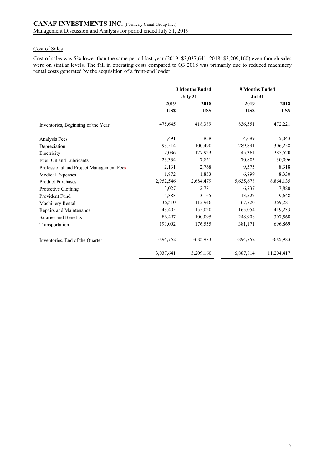## Cost of Sales

 $\overline{\phantom{a}}$ 

Cost of sales was 5% lower than the same period last year (2019: \$3,037,641, 2018: \$3,209,160) even though sales were on similar levels. The fall in operating costs compared to Q3 2018 was primarily due to reduced machinery rental costs generated by the acquisition of a front-end loader.

|                                          | <b>3 Months Ended</b> |            | <b>9 Months Ended</b> |            |  |
|------------------------------------------|-----------------------|------------|-----------------------|------------|--|
|                                          |                       | July 31    | <b>Jul 31</b>         |            |  |
|                                          | 2019                  | 2018       | 2019                  | 2018       |  |
|                                          | US\$                  | US\$       | US\$                  | US\$       |  |
| Inventories, Beginning of the Year       | 475,645               | 418,389    | 836,551               | 472,221    |  |
| Analysis Fees                            | 3,491                 | 858        | 4,689                 | 5,043      |  |
| Depreciation                             | 93,514                | 100,490    | 289,891               | 306,258    |  |
| Electricity                              | 12,036                | 127,923    | 45,361                | 385,520    |  |
| Fuel, Oil and Lubricants                 | 23,334                | 7,821      | 70,805                | 30,096     |  |
| Professional and Project Management Fees | 2,131                 | 2,768      | 9,575                 | 8,318      |  |
| <b>Medical Expenses</b>                  | 1,872                 | 1,853      | 6,899                 | 8,330      |  |
| <b>Product Purchases</b>                 | 2,952,546             | 2,684,479  | 5,635,678             | 8,864,135  |  |
| Protective Clothing                      | 3,027                 | 2,781      | 6,737                 | 7,880      |  |
| Provident Fund                           | 5,383                 | 3,165      | 13,527                | 9,648      |  |
| Machinery Rental                         | 36,510                | 112,946    | 67,720                | 369,281    |  |
| Repairs and Maintenance                  | 43,405                | 155,020    | 165,054               | 419,233    |  |
| Salaries and Benefits                    | 86,497                | 100,095    | 248,908               | 307,568    |  |
| Transportation                           | 193,002               | 176,555    | 381,171               | 696,869    |  |
| Inventories, End of the Quarter          | $-894,752$            | $-685,983$ | $-894,752$            | $-685,983$ |  |
|                                          | 3,037,641             | 3,209,160  | 6,887,814             | 11,204,417 |  |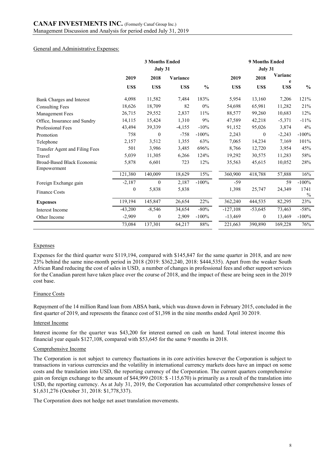### General and Administrative Expenses:

|                                           | <b>3 Months Ended</b><br>July 31 |              |          |               | 9 Months Ended<br>July 31 |                  |              |                       |
|-------------------------------------------|----------------------------------|--------------|----------|---------------|---------------------------|------------------|--------------|-----------------------|
|                                           | 2019                             | 2018         | Variance |               | 2019                      | 2018             | Varianc<br>e |                       |
|                                           | US\$                             | US\$         | US\$     | $\frac{0}{0}$ | US\$                      | US\$             | US\$         | $\frac{6}{9}$         |
| Bank Charges and Interest                 | 4,098                            | 11,582       | 7,484    | 183%          | 5,954                     | 13,160           | 7,206        | 121%                  |
| <b>Consulting Fees</b>                    | 18,626                           | 18,709       | 82       | $0\%$         | 54,698                    | 65,981           | 11,282       | 21%                   |
| Management Fees                           | 26,715                           | 29,552       | 2,837    | 11%           | 88,577                    | 99,260           | 10,683       | 12%                   |
| Office, Insurance and Sundry              | 14,115                           | 15,424       | 1,310    | 9%            | 47,589                    | 42,218           | $-5,371$     | $-11%$                |
| Professional Fees                         | 43,494                           | 39,339       | $-4,155$ | $-10%$        | 91,152                    | 95,026           | 3,874        | 4%                    |
| Promotion                                 | 758                              | $\mathbf{0}$ | $-758$   | $-100%$       | 2,243                     | $\mathbf{0}$     | $-2,243$     | $-100%$               |
| Telephone                                 | 2,157                            | 3,512        | 1,355    | 63%           | 7,065                     | 14,234           | 7,169        | 101%                  |
| Transfer Agent and Filing Fees            | 501                              | 3,986        | 3,485    | 696%          | 8,766                     | 12,720           | 3,954        | 45%                   |
| Travel                                    | 5,039                            | 11,305       | 6,266    | 124%          | 19,292                    | 30,575           | 11,283       | 58%                   |
| Broad-Based Black Economic<br>Empowerment | 5,878                            | 6,601        | 723      | 12%           | 35,563                    | 45,615           | 10,052       | 28%                   |
|                                           | 121,380                          | 140,009      | 18,629   | 15%           | 360,900                   | 418,788          | 57,888       | 16%                   |
| Foreign Exchange gain                     | $-2,187$                         | $\mathbf{0}$ | 2,187    | $-100%$       | $-59$                     |                  | 59           | $-100\%$              |
| <b>Finance Costs</b>                      | $\boldsymbol{0}$                 | 5,838        | 5,838    |               | 1,398                     | 25,747           | 24,349       | 1741<br>$\frac{0}{0}$ |
| <b>Expenses</b>                           | 119,194                          | 145,847      | 26,654   | 22%           | 362,240                   | 444,535          | 82,295       | 23%                   |
| Interest Income                           | $-43,200$                        | $-8,546$     | 34,654   | $-80%$        | $-127,108$                | $-53,645$        | 73,463       | $-58%$                |
| Other Income                              | $-2,909$                         | 0            | 2,909    | $-100%$       | $-13,469$                 | $\boldsymbol{0}$ | 13,469       | $-100\%$              |
|                                           | 73,084                           | 137,301      | 64,217   | 88%           | 221,663                   | 390,890          | 169,228      | 76%                   |

#### Expenses

Expenses for the third quarter were \$119,194, compared with \$145,847 for the same quarter in 2018, and are now 23% behind the same nine-month period in 2018 (2019: \$362,240, 2018: \$444,535). Apart from the weaker South African Rand reducing the cost of sales in USD, a number of changes in professional fees and other support services for the Canadian parent have taken place over the course of 2018, and the impact of these are being seen in the 2019 cost base.

#### Finance Costs

Repayment of the 14 million Rand loan from ABSA bank, which was drawn down in February 2015, concluded in the first quarter of 2019, and represents the finance cost of \$1,398 in the nine months ended April 30 2019.

#### Interest Income

Interest income for the quarter was \$43,200 for interest earned on cash on hand. Total interest income this financial year equals \$127,108, compared with \$53,645 for the same 9 months in 2018.

#### Comprehensive Income

The Corporation is not subject to currency fluctuations in its core activities however the Corporation is subject to transactions in various currencies and the volatility in international currency markets does have an impact on some costs and the translation into USD, the reporting currency of the Corporation. The current quarters comprehensive gain on foreign exchange to the amount of \$44,999 (2018: \$ -115,670) is primarily as a result of the translation into USD, the reporting currency. As at July 31, 2019, the Corporation has accumulated other comprehensive losses of \$1,631,276 (October 31, 2018: \$1,778,337).

The Corporation does not hedge net asset translation movements.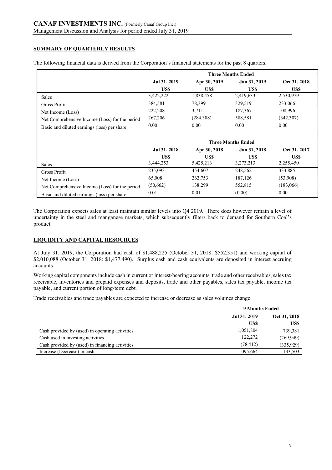## SUMMARY OF QUARTERLY RESULTS

|                                                | <b>Three Months Ended</b>                                    |            |           |            |  |
|------------------------------------------------|--------------------------------------------------------------|------------|-----------|------------|--|
|                                                | Oct 31, 2018<br>Jan 31, 2019<br>Jul 31, 2019<br>Apr 30, 2019 |            |           |            |  |
|                                                | US\$                                                         | US\$       | US\$      | US\$       |  |
| Sales                                          | 3,422,222                                                    | 1,838,458  | 2,419,633 | 2,530,979  |  |
| Gross Profit                                   | 384,581                                                      | 78,399     | 329.519   | 233,066    |  |
| Net Income (Loss)                              | 222,208                                                      | 3.711      | 187,367   | 108,996    |  |
| Net Comprehensive Income (Loss) for the period | 267,206                                                      | (284, 388) | 588,581   | (342, 307) |  |
| Basic and diluted earnings (loss) per share    | 0.00                                                         | 0.00       | 0.00      | 0.00       |  |

The following financial data is derived from the Corporation's financial statements for the past 8 quarters.

|                                                | <b>Three Months Ended</b> |                                              |           |           |  |  |
|------------------------------------------------|---------------------------|----------------------------------------------|-----------|-----------|--|--|
|                                                | Jul 31, 2018              | Jan 31, 2018<br>Oct 31, 2017<br>Apr 30, 2018 |           |           |  |  |
|                                                | US\$                      | US\$                                         | US\$      | US\$      |  |  |
| Sales                                          | 3.444.253                 | 5,425,213                                    | 3,273,213 | 2,255,450 |  |  |
| Gross Profit                                   | 235,093                   | 454,607                                      | 248,562   | 333,885   |  |  |
| Net Income (Loss)                              | 65,008                    | 262,753                                      | 187,126   | (53,908)  |  |  |
| Net Comprehensive Income (Loss) for the period | (50, 662)                 | 138,299                                      | 552,815   | (183,066) |  |  |
| Basic and diluted earnings (loss) per share    | 0.01                      | 0.01                                         | (0.00)    | 0.00      |  |  |

The Corporation expects sales at least maintain similar levels into Q4 2019. There does however remain a level of uncertainty in the steel and manganese markets, which subsequently filters back to demand for Southern Coal's product.

# LIQUIDITY AND CAPITAL RESOURCES

At July 31, 2019, the Corporation had cash of \$1,488,225 (October 31, 2018: \$552,351) and working capital of \$2,010,088 (October 31, 2018: \$1,477,490). Surplus cash and cash equivalents are deposited in interest accruing accounts.

Working capital components include cash in current or interest-bearing accounts, trade and other receivables, sales tax receivable, inventories and prepaid expenses and deposits, trade and other payables, sales tax payable, income tax payable, and current portion of long-term debt.

Trade receivables and trade payables are expected to increase or decrease as sales volumes change

|                                                 | 9 Months Ended               |            |  |
|-------------------------------------------------|------------------------------|------------|--|
|                                                 | Jul 31, 2019<br>Oct 31, 2018 |            |  |
|                                                 | US\$                         | US\$       |  |
| Cash provided by (used) in operating activities | 1,051,804                    | 739,381    |  |
| Cash used in investing activities               | 122,272                      | (269, 949) |  |
| Cash provided by (used) in financing activities | (78, 412)                    | (335, 929) |  |
| Increase (Decrease) in cash                     | 1.095.664                    | 133,503    |  |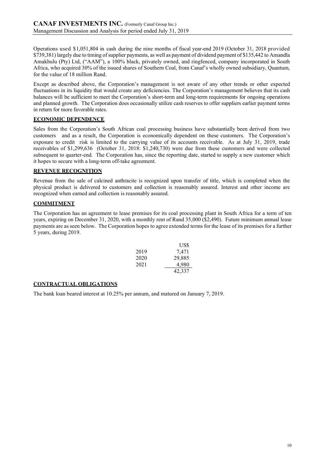Operations used \$1,051,804 in cash during the nine months of fiscal year-end 2019 (October 31, 2018 provided \$739,381) largely due to timing of supplier payments, as well as payment of dividend payment of \$135,442 to Amandla Amakhulu (Pty) Ltd, ("AAM"), a 100% black, privately owned, and ringfenced, company incorporated in South Africa, who acquired 30% of the issued shares of Southern Coal, from Canaf's wholly owned subsidiary, Quantum, for the value of 18 million Rand.

Except as described above, the Corporation's management is not aware of any other trends or other expected fluctuations in its liquidity that would create any deficiencies. The Corporation's management believes that its cash balances will be sufficient to meet the Corporation's short-term and long-term requirements for ongoing operations and planned growth. The Corporation does occasionally utilize cash reserves to offer suppliers earlier payment terms in return for more favorable rates.

## ECONOMIC DEPENDENCE

Sales from the Corporation's South African coal processing business have substantially been derived from two customers and as a result, the Corporation is economically dependent on these customers. The Corporation's exposure to credit risk is limited to the carrying value of its accounts receivable. As at July 31, 2019, trade receivables of \$1,299,636 (October 31, 2018: \$1,240,730) were due from these customers and were collected subsequent to quarter-end. The Corporation has, since the reporting date, started to supply a new customer which it hopes to secure with a long-term off-take agreement.

## REVENUE RECOGNITION

Revenue from the sale of calcined anthracite is recognized upon transfer of title, which is completed when the physical product is delivered to customers and collection is reasonably assured. Interest and other income are recognized when earned and collection is reasonably assured.

# COMMITMENT

The Corporation has an agreement to lease premises for its coal processing plant in South Africa for a term of ten years, expiring on December 31, 2020, with a monthly rent of Rand 35,000 (\$2,490). Future minimum annual lease payments are as seen below. The Corporation hopes to agree extended terms for the lease of its premises for a further 5 years, during 2019.

|      | US\$   |
|------|--------|
| 2019 | 7,471  |
| 2020 | 29,885 |
| 2021 | 4,980  |
|      | 42.337 |

## CONTRACTUAL OBLIGATIONS

The bank loan beared interest at 10.25% per annum, and matured on January 7, 2019.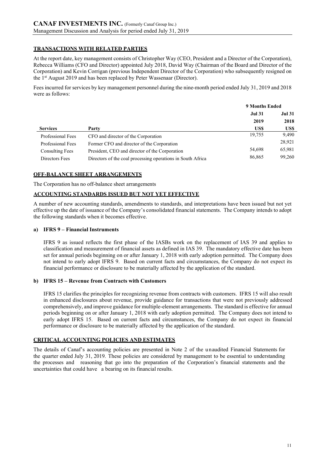## TRANSACTIONS WITH RELATED PARTIES

At the report date, key management consists of Christopher Way (CEO, President and a Director of the Corporation), Rebecca Williams (CFO and Director) appointed July 2018, David Way (Chairman of the Board and Director of the Corporation) and Kevin Corrigan (previous Independent Director of the Corporation) who subsequently resigned on the 1st August 2019 and has been replaced by Peter Wassenaar (Director).

Fees incurred for services by key management personnel during the nine-month period ended July 31, 2019 and 2018 were as follows:

|                        |                                                             | 9 Months Ended |               |
|------------------------|-------------------------------------------------------------|----------------|---------------|
|                        |                                                             | <b>Jul 31</b>  | <b>Jul 31</b> |
|                        |                                                             | 2019           | 2018          |
| <b>Services</b>        | Party                                                       | US\$           | US\$          |
| Professional Fees      | CFO and director of the Corporation                         | 19,755         | 9,490         |
| Professional Fees      | Former CFO and director of the Corporation                  |                | 28,921        |
| <b>Consulting Fees</b> | President, CEO and director of the Corporation              | 54,698         | 65,981        |
| Directors Fees         | Directors of the coal processing operations in South Africa | 86,865         | 99,260        |

## OFF-BALANCE SHEET ARRANGEMENTS

The Corporation has no off-balance sheet arrangements

### ACCOUNTING STANDARDS ISSUED BUT NOT YET EFFECTIVE

A number of new accounting standards, amendments to standards, and interpretations have been issued but not yet effective up the date of issuance of the Company's consolidated financial statements. The Company intends to adopt the following standards when it becomes effective.

### a) IFRS 9 – Financial Instruments

IFRS 9 as issued reflects the first phase of the IASBs work on the replacement of IAS 39 and applies to classification and measurement of financial assets as defined in IAS 39. The mandatory effective date has been set for annual periods beginning on or after January 1, 2018 with early adoption permitted. The Company does not intend to early adopt IFRS 9. Based on current facts and circumstances, the Company do not expect its financial performance or disclosure to be materially affected by the application of the standard.

#### b) IFRS 15 – Revenue from Contracts with Customers

IFRS 15 clarifies the principles for recognizing revenue from contracts with customers. IFRS 15 will also result in enhanced disclosures about revenue, provide guidance for transactions that were not previously addressed comprehensively, and improve guidance for multiple-element arrangements. The standard is effective for annual periods beginning on or after January 1, 2018 with early adoption permitted. The Company does not intend to early adopt IFRS 15. Based on current facts and circumstances, the Company do not expect its financial performance or disclosure to be materially affected by the application of the standard.

#### CRITICAL ACCOUNTING POLICIES AND ESTIMATES

The details of Canaf's accounting policies are presented in Note 2 of the unaudited Financial Statements for the quarter ended July 31, 2019. These policies are considered by management to be essential to understanding the processes and reasoning that go into the preparation of the Corporation's financial statements and the uncertainties that could have a bearing on its financial results.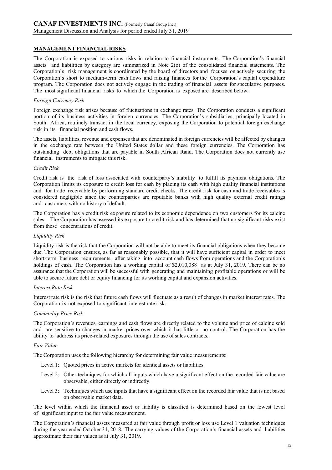### MANAGEMENT FINANCIAL RISKS

The Corporation is exposed to various risks in relation to financial instruments. The Corporation's financial assets and liabilities by category are summarized in Note 2(o) of the consolidated financial statements. The Corporation's risk management is coordinated by the board of directors and focuses on actively securing the Corporation's short to medium-term cash flows and raising finances for the Corporation's capital expenditure program. The Corporation does not actively engage in the trading of financial assets for speculative purposes. The most significant financial risks to which the Corporation is exposed are described below.

#### Foreign Currency Risk

Foreign exchange risk arises because of fluctuations in exchange rates. The Corporation conducts a significant portion of its business activities in foreign currencies. The Corporation's subsidiaries, principally located in South Africa, routinely transact in the local currency, exposing the Corporation to potential foreign exchange risk in its financial position and cash flows.

The assets, liabilities, revenue and expenses that are denominated in foreign currencies will be affected by changes in the exchange rate between the United States dollar and these foreign currencies. The Corporation has outstanding debt obligations that are payable in South African Rand. The Corporation does not currently use financial instruments to mitigate this risk.

### Credit Risk

Credit risk is the risk of loss associated with counterparty's inability to fulfill its payment obligations. The Corporation limits its exposure to credit loss for cash by placing its cash with high quality financial institutions and for trade receivable by performing standard credit checks. The credit risk for cash and trade receivables is considered negligible since the counterparties are reputable banks with high quality external credit ratings and customers with no history of default.

The Corporation has a credit risk exposure related to its economic dependence on two customers for its calcine sales. The Corporation has assessed its exposure to credit risk and has determined that no significant risks exist from these concentrations of credit.

#### Liquidity Risk

Liquidity risk is the risk that the Corporation will not be able to meet its financial obligations when they become due. The Corporation ensures, as far as reasonably possible, that it will have sufficient capital in order to meet short-term business requirements, after taking into account cash flows from operations and the Corporation's holdings of cash. The Corporation has a working capital of \$2,010,088 as at July 31, 2019. There can be no assurance that the Corporation will be successful with generating and maintaining profitable operations or will be able to secure future debt or equity financing for its working capital and expansion activities.

#### Interest Rate Risk

Interest rate risk is the risk that future cash flows will fluctuate as a result of changes in market interest rates. The Corporation is not exposed to significant interest rate risk.

#### Commodity Price Risk

The Corporation's revenues, earnings and cash flows are directly related to the volume and price of calcine sold and are sensitive to changes in market prices over which it has little or no control. The Corporation has the ability to address its price-related exposures through the use of sales contracts.

### Fair Value

The Corporation uses the following hierarchy for determining fair value measurements:

- Level 1: Quoted prices in active markets for identical assets or liabilities.
- Level 2: Other techniques for which all inputs which have a significant effect on the recorded fair value are observable, either directly or indirectly.
- Level 3: Techniques which use inputs that have a significant effect on the recorded fair value that is not based on observable market data.

The level within which the financial asset or liability is classified is determined based on the lowest level of significant input to the fair value measurement.

The Corporation's financial assets measured at fair value through profit or loss use Level 1 valuation techniques during the year ended October 31, 2018. The carrying values of the Corporation's financial assets and liabilities approximate their fair values as at July 31, 2019.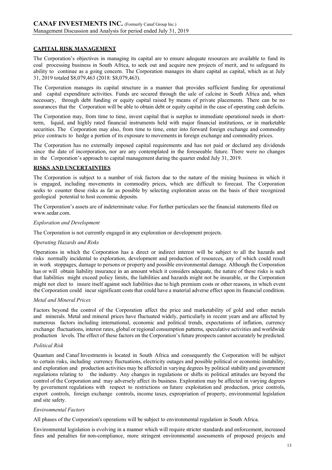### CAPITAL RISK MANAGEMENT

The Corporation's objectives in managing its capital are to ensure adequate resources are available to fund its coal processing business in South Africa, to seek out and acquire new projects of merit, and to safeguard its ability to continue as a going concern. The Corporation manages its share capital as capital, which as at July 31, 2019 totaled \$8,079,463 (2018: \$8,079,463).

The Corporation manages its capital structure in a manner that provides sufficient funding for operational and capital expenditure activities. Funds are secured through the sale of calcine in South Africa and, when necessary, through debt funding or equity capital raised by means of private placements. There can be no assurances that the Corporation will be able to obtain debt or equity capital in the case of operating cash deficits.

The Corporation may, from time to time, invest capital that is surplus to immediate operational needs in shortterm, liquid, and highly rated financial instruments held with major financial institutions, or in marketable securities. The Corporation may also, from time to time, enter into forward foreign exchange and commodity price contracts to hedge a portion of its exposure to movements in foreign exchange and commodity prices.

The Corporation has no externally imposed capital requirements and has not paid or declared any dividends since the date of incorporation, nor are any contemplated in the foreseeable future. There were no changes in the Corporation's approach to capital management during the quarter ended July 31, 2019.

### RISKS AND UNCERTAINTIES

The Corporation is subject to a number of risk factors due to the nature of the mining business in which it is engaged, including movements in commodity prices, which are difficult to forecast. The Corporation seeks to counter these risks as far as possible by selecting exploration areas on the basis of their recognized geological potential to host economic deposits.

The Corporation's assets are of indeterminate value. For further particulars see the financial statements filed on www.sedar.com.

#### Exploration and Development

The Corporation is not currently engaged in any exploration or development projects.

#### Operating Hazards and Risks

Operations in which the Corporation has a direct or indirect interest will be subject to all the hazards and risks normally incidental to exploration, development and production of resources, any of which could result in work stoppages, damage to persons or property and possible environmental damage. Although the Corporation has or will obtain liability insurance in an amount which it considers adequate, the nature of these risks is such that liabilities might exceed policy limits, the liabilities and hazards might not be insurable, or the Corporation might not elect to insure itself against such liabilities due to high premium costs or other reasons, in which event the Corporation could incur significant costs that could have a material adverse effect upon its financial condition.

#### Metal and Mineral Prices

Factors beyond the control of the Corporation affect the price and marketability of gold and other metals and minerals. Metal and mineral prices have fluctuated widely, particularly in recent years and are affected by numerous factors including international, economic and political trends, expectations of inflation, currency exchange fluctuations, interest rates, global or regional consumption patterns, speculative activities and worldwide production levels. The effect of these factors on the Corporation's future prospects cannot accurately be predicted.

#### Political Risk

Quantum and Canaf Investments is located in South Africa and consequently the Corporation will be subject to certain risks, including currency fluctuations, electricity outages and possible political or economic instability, and exploration and production activities may be affected in varying degrees by political stability and government regulations relating to the industry. Any changes in regulations or shifts in political attitudes are beyond the control of the Corporation and may adversely affect its business. Exploration may be affected in varying degrees by government regulations with respect to restrictions on future exploitation and production, price controls, export controls, foreign exchange controls, income taxes, expropriation of property, environmental legislation and site safety.

#### Environmental Factors

All phases of the Corporation's operations will be subject to environmental regulation in South Africa.

Environmental legislation is evolving in a manner which will require stricter standards and enforcement, increased fines and penalties for non-compliance, more stringent environmental assessments of proposed projects and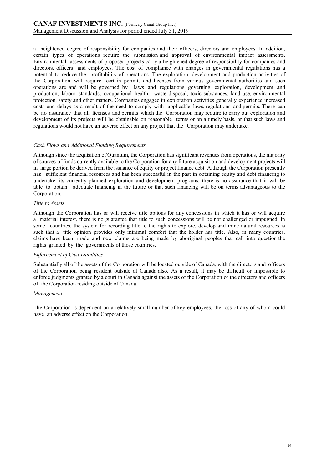a heightened degree of responsibility for companies and their officers, directors and employees. In addition, certain types of operations require the submission and approval of environmental impact assessments. Environmental assessments of proposed projects carry a heightened degree of responsibility for companies and directors, officers and employees. The cost of compliance with changes in governmental regulations has a potential to reduce the profitability of operations. The exploration, development and production activities of the Corporation will require certain permits and licenses from various governmental authorities and such operations are and will be governed by laws and regulations governing exploration, development and production, labour standards, occupational health, waste disposal, toxic substances, land use, environmental protection, safety and other matters. Companies engaged in exploration activities generally experience increased costs and delays as a result of the need to comply with applicable laws, regulations and permits. There can be no assurance that all licenses and permits which the Corporation may require to carry out exploration and development of its projects will be obtainable on reasonable terms or on a timely basis, or that such laws and regulations would not have an adverse effect on any project that the Corporation may undertake.

#### Cash Flows and Additional Funding Requirements

Although since the acquisition of Quantum, the Corporation has significant revenues from operations, the majority of sources of funds currently available to the Corporation for any future acquisition and development projects will in large portion be derived from the issuance of equity or project finance debt. Although the Corporation presently has sufficient financial resources and has been successful in the past in obtaining equity and debt financing to undertake its currently planned exploration and development programs, there is no assurance that it will be able to obtain adequate financing in the future or that such financing will be on terms advantageous to the Corporation.

#### Title to Assets

Although the Corporation has or will receive title options for any concessions in which it has or will acquire a material interest, there is no guarantee that title to such concessions will be not challenged or impugned. In some countries, the system for recording title to the rights to explore, develop and mine natural resources is such that a title opinion provides only minimal comfort that the holder has title. Also, in many countries, claims have been made and new claims are being made by aboriginal peoples that call into question the rights granted by the governments of those countries.

#### Enforcement of Civil Liabilities

Substantially all of the assets of the Corporation will be located outside of Canada, with the directors and officers of the Corporation being resident outside of Canada also. As a result, it may be difficult or impossible to enforce judgments granted by a court in Canada against the assets of the Corporation or the directors and officers of the Corporation residing outside of Canada.

#### Management

The Corporation is dependent on a relatively small number of key employees, the loss of any of whom could have an adverse effect on the Corporation.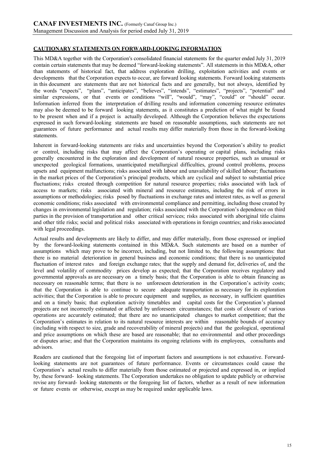# CAUTIONARY STATEMENTS ON FORWARD-LOOKING INFORMATION

This MD&A together with the Corporation's consolidated financial statements for the quarter ended July 31, 2019 contain certain statements that may be deemed "forward-looking statements". All statements in this MD&A, other than statements of historical fact, that address exploration drilling, exploitation activities and events or developments that the Corporation expects to occur, are forward looking statements. Forward looking statements in this document are statements that are not historical facts and are generally, but not always, identified by the words "expects", "plans", "anticipates", "believes", "intends", "estimates", "projects", "potential" and similar expressions, or that events or conditions "will", "would", "may", "could" or "should" occur. Information inferred from the interpretation of drilling results and information concerning resource estimates may also be deemed to be forward looking statements, as it constitutes a prediction of what might be found to be present when and if a project is actually developed. Although the Corporation believes the expectations expressed in such forward-looking statements are based on reasonable assumptions, such statements are not guarantees of future performance and actual results may differ materially from those in the forward-looking statements.

Inherent in forward-looking statements are risks and uncertainties beyond the Corporation's ability to predict or control, including risks that may affect the Corporation's operating or capital plans, including risks generally encountered in the exploration and development of natural resource properties, such as unusual or unexpected geological formations, unanticipated metallurgical difficulties, ground control problems, process upsets and equipment malfunctions; risks associated with labour and unavailability of skilled labour; fluctuations in the market prices of the Corporation's principal products, which are cyclical and subject to substantial price fluctuations; risks created through competition for natural resource properties; risks associated with lack of access to markets; risks associated with mineral and resource estimates, including the risk of errors in assumptions or methodologies; risks posed by fluctuations in exchange rates and interest rates, as well as general economic conditions; risks associated with environmental compliance and permitting, including those created by changes in environmental legislation and regulation; risks associated with the Corporation's dependence on third parties in the provision of transportation and other critical services; risks associated with aboriginal title claims and other title risks; social and political risks associated with operations in foreign countries; and risks associated with legal proceedings.

Actual results and developments are likely to differ, and may differ materially, from those expressed or implied by the forward-looking statements contained in this MD&A. Such statements are based on a number of assumptions which may prove to be incorrect, including, but not limited to, the following assumptions: that there is no material deterioration in general business and economic conditions; that there is no unanticipated fluctuation of interest rates and foreign exchange rates; that the supply and demand for, deliveries of, and the level and volatility of commodity prices develop as expected; that the Corporation receives regulatory and governmental approvals as are necessary on a timely basis; that the Corporation is able to obtain financing as necessary on reasonable terms; that there is no unforeseen deterioration in the Corporation's activity costs; that the Corporation is able to continue to secure adequate transportation as necessary for its exploration activities; that the Corporation is able to procure equipment and supplies, as necessary, in sufficient quantities and on a timely basis; that exploration activity timetables and capital costs for the Corporation's planned projects are not incorrectly estimated or affected by unforeseen circumstances; that costs of closure of various operations are accurately estimated; that there are no unanticipated changes to market competition; that the Corporation's estimates in relation to its natural resource interests are within reasonable bounds of accuracy (including with respect to size, grade and recoverability of mineral projects) and that the geological, operational and price assumptions on which these are based are reasonable; that no environmental and other proceedings or disputes arise; and that the Corporation maintains its ongoing relations with its employees, consultants and advisors.

Readers are cautioned that the foregoing list of important factors and assumptions is not exhaustive. Forwardlooking statements are not guarantees of future performance. Events or circumstances could cause the Corporation's actual results to differ materially from those estimated or projected and expressed in, or implied by, these forward- looking statements. The Corporation undertakes no obligation to update publicly or otherwise revise any forward- looking statements or the foregoing list of factors, whether as a result of new information or future events or otherwise, except as may be required under applicable laws.